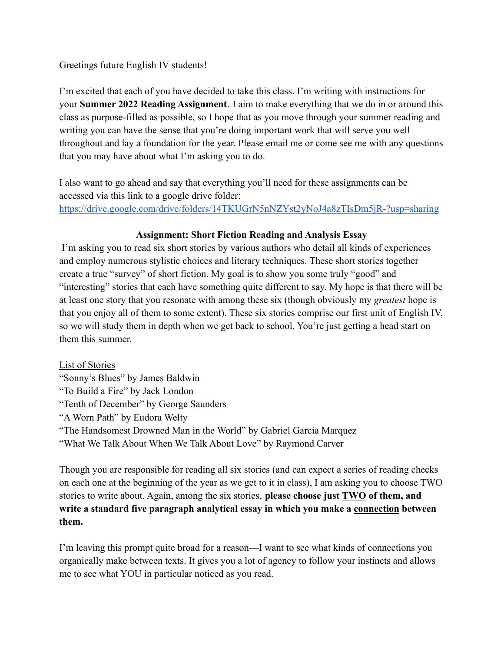## Greetings future English IV students!

I'm excited that each of you have decided to take this class. I'm writing with instructions for your **Summer 2022 Reading Assignment**. I aim to make everything that we do in or around this class as purpose-filled as possible, so I hope that as you move through your summer reading and writing you can have the sense that you're doing important work that will serve you well throughout and lay a foundation for the year. Please email me or come see me with any questions that you may have about what I'm asking you to do.

I also want to go ahead and say that everything you'll need for these assignments can be accessed via this link to a google drive folder: <https://drive.google.com/drive/folders/14TKUGrN5nNZYst2yNoJ4a8zTIsDm5jR-?usp=sharing>

## **Assignment: Short Fiction Reading and Analysis Essay**

I'm asking you to read six short stories by various authors who detail all kinds of experiences and employ numerous stylistic choices and literary techniques. These short stories together create a true "survey" of short fiction. My goal is to show you some truly "good" and "interesting" stories that each have something quite different to say. My hope is that there will be at least one story that you resonate with among these six (though obviously my *greatest* hope is that you enjoy all of them to some extent). These six stories comprise our first unit of English IV, so we will study them in depth when we get back to school. You're just getting a head start on them this summer.

List of Stories "Sonny's Blues" by James Baldwin "To Build a Fire" by Jack London "Tenth of December" by George Saunders "A Worn Path" by Eudora Welty "The Handsomest Drowned Man in the World" by Gabriel Garcia Marquez "What We Talk About When We Talk About Love" by Raymond Carver

Though you are responsible for reading all six stories (and can expect a series of reading checks on each one at the beginning of the year as we get to it in class), I am asking you to choose TWO stories to write about. Again, among the six stories, **please choose just TWO of them, and write a standard five paragraph analytical essay in which you make a connection between them.**

I'm leaving this prompt quite broad for a reason—I want to see what kinds of connections you organically make between texts. It gives you a lot of agency to follow your instincts and allows me to see what YOU in particular noticed as you read.